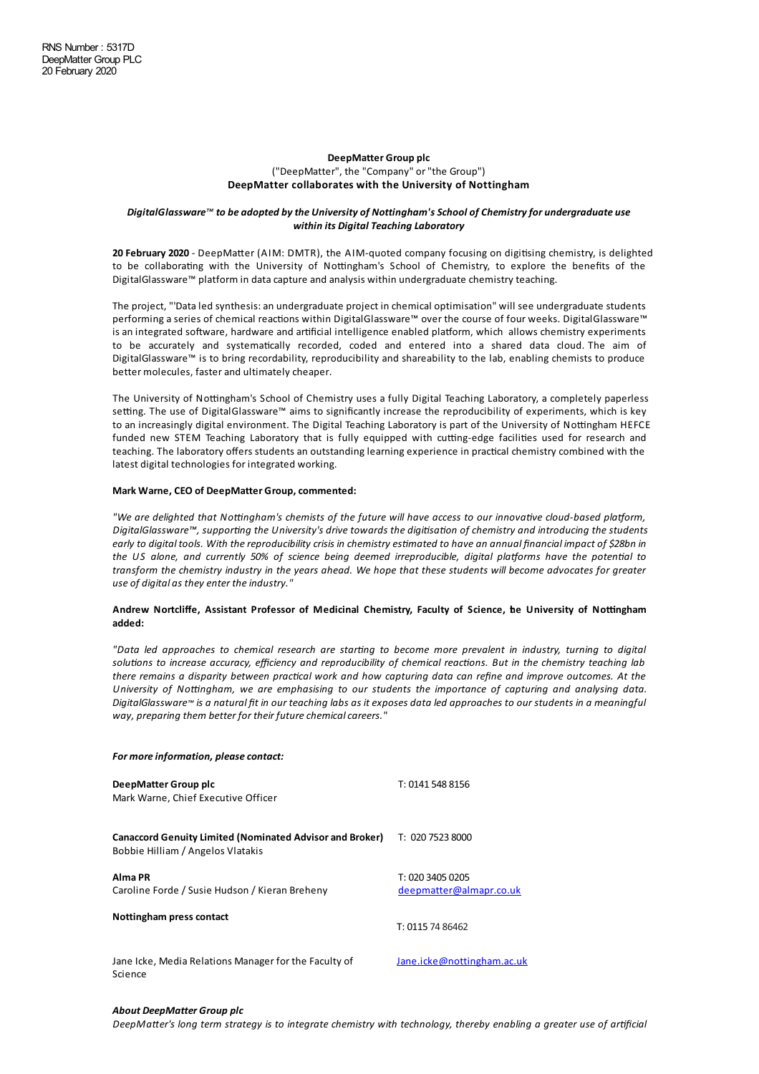#### **DeepMatter Group plc**

## ("DeepMatter", the "Company" or"the Group") **DeepMatter collaborates with the University of Nottingham**

### *DigitalGlassware™ to be adopted bythe University of Nottingham'sSchool of Chemistryfor undergraduate use within its Digital Teaching Laboratory*

**20 February 2020** - DeepMatter (AIM: DMTR), the AIM-quoted company focusing on digitising chemistry, is delighted to be collaborating with the University of Nottingham's School of Chemistry, to explore the benefits of the DigitalGlassware™ platform in datacapture and analysis within undergraduate chemistry teaching.

The project, "'Dataled synthesis:an undergraduate project in chemical optimisation" will see undergraduate students performing a series of chemical reactions within DigitalGlassware™ over the course of four weeks. DigitalGlassware™ is an integrated software, hardware and artificial intelligence enabled platform, which allows chemistry experiments to be accurately and systematically recorded, coded and entered into a shared data cloud. The aim of DigitalGlassware™ is to bring recordability, reproducibility and shareability to the lab, enabling chemists to produce better molecules, faster and ultimately cheaper.

The University of Nottingham's School of Chemistry uses a fully Digital Teaching Laboratory, a completely paperless setting. The use of DigitalGlassware™ aims to significantly increase the reproducibility of experiments, which is key to an increasingly digital environment. The Digital Teaching Laboratory is part of the University of Nottingham HEFCE funded new STEM Teaching Laboratory that is fully equipped with cutting-edge facilities used for research and teaching. The laboratory offers students an outstanding learning experience in practical chemistry combined with the latest digital technologies for integrated working.

## **Mark Warne, CEO of DeepMatter Group, commented:**

"We are delighted that Nottingham's chemists of the future will have access to our innovative cloud-based platform, *DigitalGlassware™, supporting the University's drive towards the digitisation of chemistry and introducing the students* early to digital tools. With the reproducibility crisis in chemistry estimated to have an annual financial impact of \$28bn in the US alone, and currently 50% of science being deemed irreproducible, digital platforms have the potential to transform the chemistry industry in the years ahead. We hope that these students will become advocates for greater *use of digital as theyenter theindustry."*

### **Andrew Nortcliffe, Assistant Professor of Medicinal Chemistry, Faculty of Science, the University of No\*ngham added:**

"Data led approaches to chemical research are starting to become more prevalent in industry, turning to digital solutions to increase accuracy, efficiency and reproducibility of chemical reactions. But in the chemistry teaching lab there remains a disparity between practical work and how capturing data can refine and improve outcomes. At the *University of Nongham, we are emphasising to our students the importance of capturing and analysing data.* DigitalGlassware™ is a natural fit in our teaching labs as it exposes data led approaches to our students in a meaningful *way, preparing them better for their futurechemicalcareers."*

| For more information, please contact:                                                                |                                             |
|------------------------------------------------------------------------------------------------------|---------------------------------------------|
| DeepMatter Group plc<br>Mark Warne, Chief Executive Officer                                          | T: 0141 548 8156                            |
| <b>Canaccord Genuity Limited (Nominated Advisor and Broker)</b><br>Bobbie Hilliam / Angelos Vlatakis | T: 020 7523 8000                            |
| Alma PR<br>Caroline Forde / Susie Hudson / Kieran Breheny                                            | T: 020 3405 0205<br>deepmatter@almapr.co.uk |
| Nottingham press contact                                                                             | T: 0115 74 86462                            |
| Jane Icke, Media Relations Manager for the Faculty of<br>Science                                     | Jane.icke@nottingham.ac.uk                  |

# *About DeepMatter Group plc*

DeepMatter's lona term strateav is to intearate chemistry with technoloay, thereby enabling a areater use of artificial